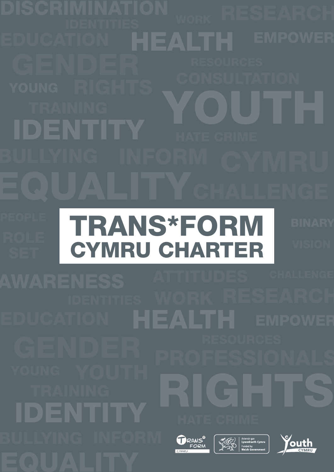TRAINING YOUTH ENTITY HEALTH TRANS\*FORM CYMRU CHARTER

HEALTH TRAINING<br>DENTITY Ariennir gan<br>
Lywodraeth Cymru<br>
Funded by<br>
Welsh Government **DRANS**<sup><sup>o</sup></sup> 秘元 **Jouth**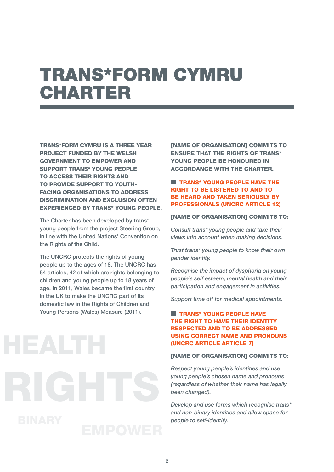# TRANS\*FORM CYMRU **CHARTER**

TRANS\*FORM CYMRU IS A THREE YEAR PROJECT FUNDED BY THE WELSH GOVERNMENT TO EMPOWER AND SUPPORT TRANS\* YOUNG PEOPLE TO ACCESS THEIR RIGHTS AND TO PROVIDE SUPPORT TO YOUTH-FACING ORGANISATIONS TO ADDRESS DISCRIMINATION AND EXCLUSION OFTEN EXPERIENCED BY TRANS\* YOUNG PEOPLE.

The Charter has been developed by trans\* young people from the project Steering Group, in line with the United Nations' Convention on the Rights of the Child.

The UNCRC protects the rights of young people up to the ages of 18. The UNCRC has 54 articles, 42 of which are rights belonging to children and young people up to 18 years of age. In 2011, Wales became the first country in the UK to make the UNCRC part of its domestic law in the Rights of Children and Young Persons (Wales) Measure (2011).

[NAME OF ORGANISATION] COMMITS TO ENSURE THAT THE RIGHTS OF TRANS\* YOUNG PEOPLE BE HONOURED IN ACCORDANCE WITH THE CHARTER.

# **TRANS\* YOUNG PEOPLE HAVE THE** RIGHT TO BE LISTENED TO AND TO BE HEARD AND TAKEN SERIOUSLY BY PROFESSIONALS (UNCRC ARTICLE 12)

### [NAME OF ORGANISATION] COMMITS TO:

*Consult trans\* young people and take their views into account when making decisions.*

*Trust trans\* young people to know their own gender identity.* 

*Recognise the impact of dysphoria on young people's self esteem, mental health and their participation and engagement in activities.*

*Support time off for medical appointments.* 

## **TRANS\* YOUNG PEOPLE HAVE** THE RIGHT TO HAVE THEIR IDENTITY RESPECTED AND TO BE ADDRESSED USING CORRECT NAME AND PRONOUNS (UNCRC ARTICLE ARTICLE 7)

### **INAME OF ORGANISATION1 COMMITS TO:**

*Respect young people's identities and use young people's chosen name and pronouns (regardless of whether their name has legally been changed).* 

*Develop and use forms which recognise trans\* and non-binary identities and allow space for people to self-identify.*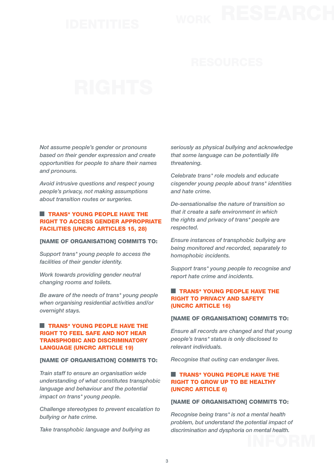*Not assume people's gender or pronouns based on their gender expression and create opportunities for people to share their names and pronouns.* 

*Avoid intrusive questions and respect young people's privacy, not making assumptions about transition routes or surgeries.* 

### **TRANS\* YOUNG PEOPLE HAVE THE** RIGHT TO ACCESS GENDER APPROPRIATE FACILITIES (UNCRC ARTICLES 15, 28)

### [NAME OF ORGANISATION] COMMITS TO:

*Support trans\* young people to access the facilities of their gender identity.*

*Work towards providing gender neutral changing rooms and toilets.*

*Be aware of the needs of trans\* young people when organising residential activities and/or overnight stays.*

## **TRANS\* YOUNG PEOPLE HAVE THE** RIGHT TO FEEL SAFE AND NOT HEAR TRANSPHOBIC AND DISCRIMINATORY LANGUAGE (UNCRC ARTICLE 19)

### **INAME OF ORGANISATION1 COMMITS TO:**

*Train staff to ensure an organisation wide understanding of what constitutes transphobic language and behaviour and the potential impact on trans\* young people.* 

*Challenge stereotypes to prevent escalation to bullying or hate crime.* 

*Take transphobic language and bullying as* 

*seriously as physical bullying and acknowledge that some language can be potentially life threatening.*

*Celebrate trans\* role models and educate cisgender young people about trans\* identities and hate crime.*

*De-sensationalise the nature of transition so that it create a safe environment in which the rights and privacy of trans\* people are respected.*

*Ensure instances of transphobic bullying are being monitored and recorded, separately to homophobic incidents.*

*Support trans\* young people to recognise and report hate crime and incidents.*

# **TRANS\* YOUNG PEOPLE HAVE THE** RIGHT TO PRIVACY AND SAFETY (UNCRC ARTICLE 16)

### [NAME OF ORGANISATION] COMMITS TO:

*Ensure all records are changed and that young people's trans\* status is only disclosed to relevant individuals.*

*Recognise that outing can endanger lives.* 

### **TRANS\* YOUNG PEOPLE HAVE THE** RIGHT TO GROW UP TO BE HEALTHY (UNCRC ARTICLE 6)

### [NAME OF ORGANISATION] COMMITS TO:

*Recognise being trans\* is not a mental health problem, but understand the potential impact of discrimination and dysphoria on mental health.*